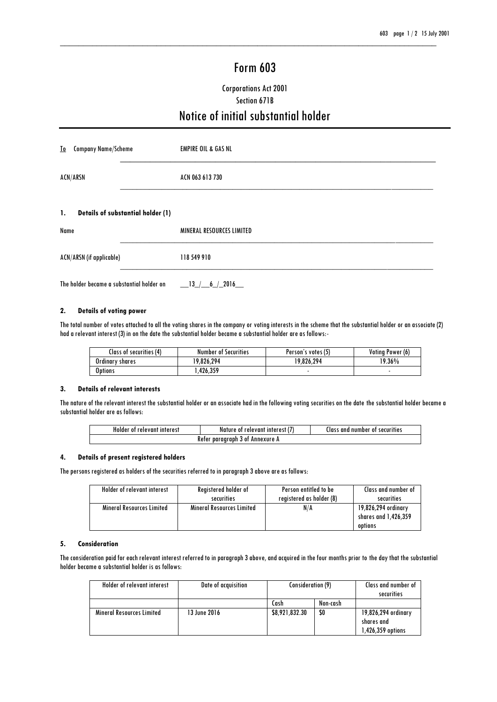# Form 603

\_\_\_\_\_\_\_\_\_\_\_\_\_\_\_\_\_\_\_\_\_\_\_\_\_\_\_\_\_\_\_\_\_\_\_\_\_\_\_\_\_\_\_\_\_\_\_\_\_\_\_\_\_\_\_\_\_\_\_\_\_\_\_\_\_\_\_\_\_\_\_\_\_\_\_\_\_\_\_\_\_\_

# Corporations Act 2001 Section 671B Notice of initial substantial holder

| <b>Company Name/Scheme</b><br><u>To</u>                    | <b>EMPIRE OIL &amp; GAS NL</b>   |  |
|------------------------------------------------------------|----------------------------------|--|
| <b>ACN/ARSN</b>                                            | ACN 063 613 730                  |  |
| <b>Details of substantial holder (1)</b><br>$\mathbf{1}$ . |                                  |  |
| Name                                                       | <b>MINERAL RESOURCES LIMITED</b> |  |
| <b>ACN/ARSN (if applicable)</b>                            | 118 549 910                      |  |
| The holder became a substantial holder on                  | $\_13$ $\_/$ 6 $\_$ 2016         |  |

#### **2. Details of voting power**

The total number of votes attached to all the voting shares in the company or voting interests in the scheme that the substantial holder or an associate (2) had a relevant interest (3) in on the date the substantial holder became a substantial holder are as follows:-

| Class of securities (4) | <b>Number of Securities</b> | Person's votes (5) | Votina Power (6) |
|-------------------------|-----------------------------|--------------------|------------------|
| Ordinary shares         | 19,826,294                  | 19,826,294         | 19.36%           |
| Options                 | .426.359                    |                    |                  |

### **3. Details of relevant interests**

The nature of the relevant interest the substantial holder or an associate had in the following voting securities on the date the substantial holder became a substantial holder are as follows:

| Holder<br>`relevant.<br>interes:<br>0Ť | relevam<br>interest<br>ture<br>- 01<br>ΝO | and<br>number<br>securities<br>.la<br>0Ť |
|----------------------------------------|-------------------------------------------|------------------------------------------|
| paraaraph<br>Annexure<br>Keter<br>301  |                                           |                                          |

#### **4. Details of present registered holders**

The persons registered as holders of the securities referred to in paragraph 3 above are as follows:

| Holder of relevant interest      | Registered holder of             | Person entitled to be    | Class and number of                                    |
|----------------------------------|----------------------------------|--------------------------|--------------------------------------------------------|
|                                  | securities                       | registered as holder (8) | securities                                             |
| <b>Mineral Resources Limited</b> | <b>Mineral Resources Limited</b> | N/A                      | 19,826,294 ordinary<br>shares and 1,426,359<br>options |

### **5. Consideration**

The consideration paid for each relevant interest referred to in paragraph 3 above, and acquired in the four months prior to the day that the substantial holder became a substantial holder is as follows:

| Holder of relevant interest      | Date of acquisition | Consideration (9) |          | Class and number of<br>securities                      |
|----------------------------------|---------------------|-------------------|----------|--------------------------------------------------------|
|                                  |                     | Cash              | Non-cash |                                                        |
| <b>Mineral Resources Limited</b> | 13 June 2016        | \$8,921,832.30    | \$0      | 19,826,294 ordinary<br>shares and<br>1,426,359 options |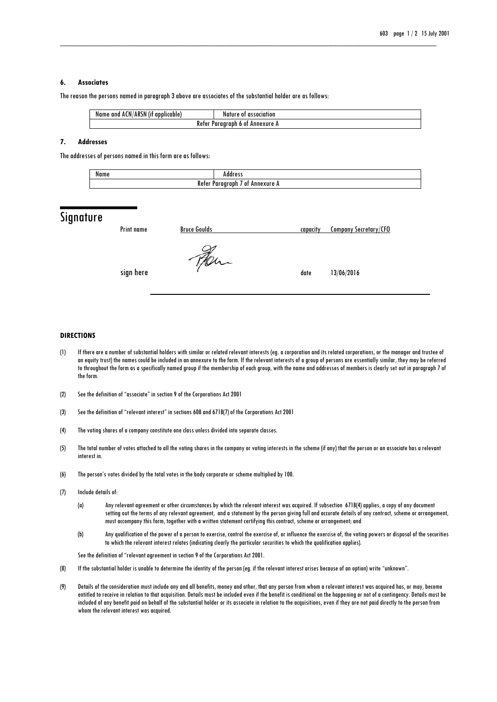#### **6. Associates**

The reason the persons named in paragraph 3 above are associates of the substantial holder are as follows:

| ACN/ARSN (if                               | association |
|--------------------------------------------|-------------|
| Name and                                   | Nature      |
| applicable)                                | : 0t        |
| Keter<br>Paraaraph<br>' Annexure A<br>) Ot |             |

\_\_\_\_\_\_\_\_\_\_\_\_\_\_\_\_\_\_\_\_\_\_\_\_\_\_\_\_\_\_\_\_\_\_\_\_\_\_\_\_\_\_\_\_\_\_\_\_\_\_\_\_\_\_\_\_\_\_\_\_\_\_\_\_\_\_\_\_\_\_\_\_\_\_\_\_\_\_\_\_\_\_

#### **7. Addresses**

The addresses of persons named in this form are as follows:

| Name                                  | . |
|---------------------------------------|---|
| Refer<br>Annexure<br>νm<br>n n ı<br>. |   |

## **Signature**

| Print name | <b>Bruce Goulds</b> | capacity | <b>Company Secretary/CFO</b> |
|------------|---------------------|----------|------------------------------|
| sign here  | $40-$               | date     | 13/06/2016                   |

#### **DIRECTIONS**

- (1) If there are a number of substantial holders with similar or related relevant interests (eg. a corporation and its related corporations, or the manager and trustee of an equity trust) the names could be included in an annexure to the form. If the relevant interests of a group of persons are essentially similar, they may be referred to throughout the form as a specifically named group if the membership of each group, with the name and addresses of members is clearly set out in paragraph 7 of the form.
- (2) See the definition of "associate" in section 9 of the Corporations Act 2001
- (3) See the definition of "relevant interest" in sections 608 and 671B(7) of the Corporations Act 2001
- (4) The voting shares of a company constitute one class unless divided into separate classes.
- (5) The total number of votes attached to all the voting shares in the company or voting interests in the scheme (if any) that the person or an associate has a relevant interest in.
- (6) The person's votes divided by the total votes in the body corporate or scheme multiplied by 100.
- (7) Include details of:
	- (a) Any relevant agreement or other circumstances by which the relevant interest was acquired. If subsection 671B(4) applies, a copy of any document setting out the terms of any relevant agreement, and a statement by the person giving full and accurate details of any contract, scheme or arrangement, must accompany this form, together with a written statement certifying this contract, scheme or arrangement; and
	- (b) Any qualification of the power of a person to exercise, control the exercise of, or influence the exercise of, the voting powers or disposal of the securities to which the relevant interest relates (indicating clearly the particular securities to which the qualification applies).

See the definition of "relevant agreement in section 9 of the Corporations Act 2001.

- (8) If the substantial holder is unable to determine the identity of the person (eg. if the relevant interest arises because of an option) write "unknown".
- (9) Details of the consideration must include any and all benefits, money and other, that any person from whom a relevant interest was acquired has, or may, become entitled to receive in relation to that acquisition. Details must be included even if the benefit is conditional on the happening or not of a contingency. Details must be included of any benefit paid on behalf of the substantial holder or its associate in relation to the acquisitions, even if they are not paid directly to the person from whom the relevant interest was acquired.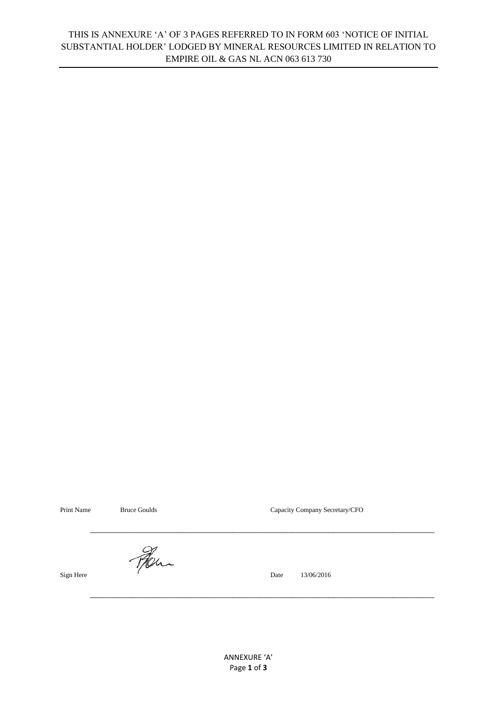## THIS IS ANNEXURE 'A' OF 3 PAGES REFERRED TO IN FORM 603 'NOTICE OF INITIAL SUBSTANTIAL HOLDER' LODGED BY MINERAL RESOURCES LIMITED IN RELATION TO EMPIRE OIL & GAS NL ACN 063 613 730

Print Name Bruce Goulds Bruce Goulds Capacity Company Secretary/CFO

Hen

Sign Here **6** and 13/06/2016

\_\_\_\_\_\_\_\_\_\_\_\_\_\_\_\_\_\_\_\_\_\_\_\_\_\_\_\_\_\_\_\_\_\_\_\_\_\_\_\_\_\_\_\_\_\_\_\_\_\_\_\_\_\_\_\_\_\_\_\_\_\_\_\_\_\_\_\_\_\_\_\_\_\_\_

\_\_\_\_\_\_\_\_\_\_\_\_\_\_\_\_\_\_\_\_\_\_\_\_\_\_\_\_\_\_\_\_\_\_\_\_\_\_\_\_\_\_\_\_\_\_\_\_\_\_\_\_\_\_\_\_\_\_\_\_\_\_\_\_\_\_\_\_\_\_\_\_\_\_\_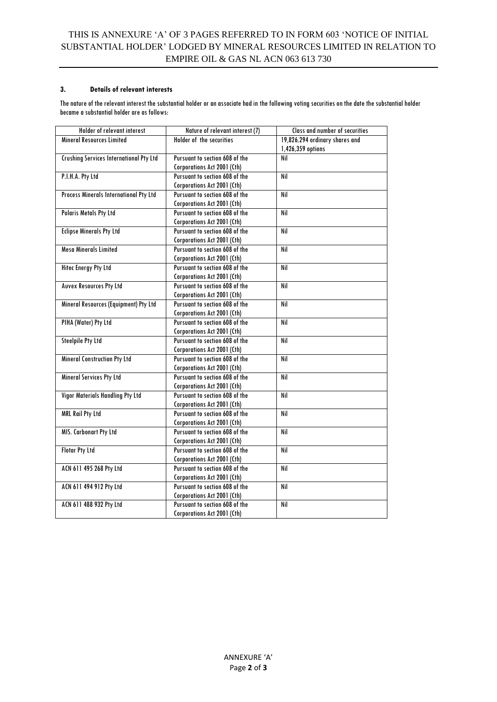## **3. Details of relevant interests**

The nature of the relevant interest the substantial holder or an associate had in the following voting securities on the date the substantial holder became a substantial holder are as follows:

| Holder of relevant interest                    | Nature of relevant interest (7) | Class and number of securities |
|------------------------------------------------|---------------------------------|--------------------------------|
| <b>Mineral Resources Limited</b>               | Holder of the securities        | 19,826.294 ordinary shares and |
|                                                |                                 | 1,426,359 options              |
| <b>Crushing Services International Pty Ltd</b> | Pursuant to section 608 of the  | Nil                            |
|                                                | Corporations Act 2001 (Cth)     |                                |
| P.I.H.A. Pty Ltd                               | Pursuant to section 608 of the  | Nil                            |
|                                                | Corporations Act 2001 (Cth)     |                                |
| Process Minerals International Pty Ltd         | Pursuant to section 608 of the  | Nil                            |
|                                                | Corporations Act 2001 (Cth)     |                                |
| <b>Polaris Metals Pty Ltd</b>                  | Pursuant to section 608 of the  | Nil                            |
|                                                | Corporations Act 2001 (Cth)     |                                |
| <b>Eclipse Minerals Pty Ltd</b>                | Pursuant to section 608 of the  | Nil                            |
|                                                | Corporations Act 2001 (Cth)     |                                |
| <b>Mesa Minerals Limited</b>                   | Pursuant to section 608 of the  | Nil                            |
|                                                | Corporations Act 2001 (Cth)     |                                |
| <b>Hitec Energy Pty Ltd</b>                    | Pursuant to section 608 of the  | Nil                            |
|                                                | Corporations Act 2001 (Cth)     |                                |
| <b>Auvex Resources Pty Ltd</b>                 | Pursuant to section 608 of the  | Nil                            |
|                                                | Corporations Act 2001 (Cth)     |                                |
| Mineral Resources (Equipment) Pty Ltd          | Pursuant to section 608 of the  | Nil                            |
|                                                | Corporations Act 2001 (Cth)     |                                |
| PIHA (Water) Pty Ltd                           | Pursuant to section 608 of the  | Nil                            |
|                                                | Corporations Act 2001 (Cth)     |                                |
| <b>Steelpile Pty Ltd</b>                       | Pursuant to section 608 of the  | Nil                            |
|                                                | Corporations Act 2001 (Cth)     |                                |
| <b>Mineral Construction Pty Ltd</b>            | Pursuant to section 608 of the  | Nil                            |
|                                                | Corporations Act 2001 (Cth)     |                                |
| <b>Mineral Services Pty Ltd</b>                | Pursuant to section 608 of the  | Nil                            |
|                                                | Corporations Act 2001 (Cth)     |                                |
| Vigor Materials Handling Pty Ltd               | Pursuant to section 608 of the  | Nil                            |
|                                                | Corporations Act 2001 (Cth)     |                                |
| <b>MRL Rail Pty Ltd</b>                        | Pursuant to section 608 of the  | Nil                            |
|                                                | Corporations Act 2001 (Cth)     |                                |
| MIS. Carbonart Pty Ltd                         | Pursuant to section 608 of the  | Nil                            |
|                                                | Corporations Act 2001 (Cth)     |                                |
| <b>Flotar Pty Ltd</b>                          | Pursuant to section 608 of the  | Nil                            |
|                                                | Corporations Act 2001 (Cth)     |                                |
| ACN 611 495 268 Pty Ltd                        | Pursuant to section 608 of the  | Nil                            |
|                                                | Corporations Act 2001 (Cth)     |                                |
| ACN 611 494 912 Pty Ltd                        | Pursuant to section 608 of the  | Nil                            |
|                                                | Corporations Act 2001 (Cth)     |                                |
| ACN 611 488 932 Pty Ltd                        | Pursuant to section 608 of the  | Nil                            |
|                                                | Corporations Act 2001 (Cth)     |                                |